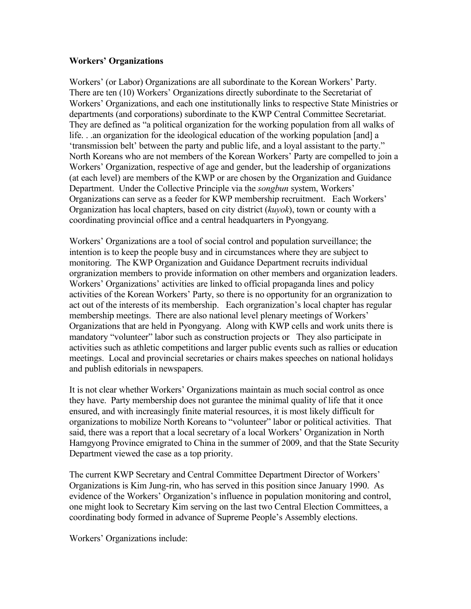## **Workers' Organizations**

Workers' (or Labor) Organizations are all subordinate to the Korean Workers' Party. There are ten (10) Workers' Organizations directly subordinate to the Secretariat of Workers' Organizations, and each one institutionally links to respective State Ministries or departments (and corporations) subordinate to the KWP Central Committee Secretariat. They are defined as "a political organization for the working population from all walks of life. . .an organization for the ideological education of the working population [and] a 'transmission belt' between the party and public life, and a loyal assistant to the party." North Koreans who are not members of the Korean Workers' Party are compelled to join a Workers' Organization, respective of age and gender, but the leadership of organizations (at each level) are members of the KWP or are chosen by the Organization and Guidance Department. Under the Collective Principle via the *songbun* system, Workers' Organizations can serve as a feeder for KWP membership recruitment. Each Workers' Organization has local chapters, based on city district (*kuyok*), town or county with a coordinating provincial office and a central headquarters in Pyongyang.

Workers' Organizations are a tool of social control and population surveillance; the intention is to keep the people busy and in circumstances where they are subject to monitoring. The KWP Organization and Guidance Department recruits individual orgranization members to provide information on other members and organization leaders. Workers' Organizations' activities are linked to official propaganda lines and policy activities of the Korean Workers' Party, so there is no opportunity for an orgranization to act out of the interests of its membership. Each orgranization's local chapter has regular membership meetings. There are also national level plenary meetings of Workers' Organizations that are held in Pyongyang. Along with KWP cells and work units there is mandatory "volunteer" labor such as construction projects or They also participate in activities such as athletic competitions and larger public events such as rallies or education meetings. Local and provincial secretaries or chairs makes speeches on national holidays and publish editorials in newspapers.

It is not clear whether Workers' Organizations maintain as much social control as once they have. Party membership does not gurantee the minimal quality of life that it once ensured, and with increasingly finite material resources, it is most likely difficult for organizations to mobilize North Koreans to "volunteer" labor or political activities. That said, there was a report that a local secretary of a local Workers' Organization in North Hamgyong Province emigrated to China in the summer of 2009, and that the State Security Department viewed the case as a top priority.

The current KWP Secretary and Central Committee Department Director of Workers' Organizations is Kim Jung-rin, who has served in this position since January 1990. As evidence of the Workers' Organization's influence in population monitoring and control, one might look to Secretary Kim serving on the last two Central Election Committees, a coordinating body formed in advance of Supreme People's Assembly elections.

Workers' Organizations include: